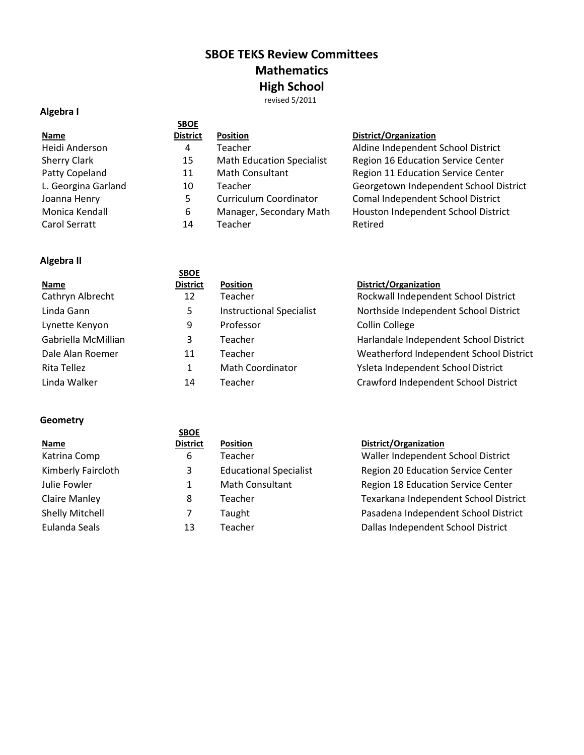# **SBOE TEKS Review Committees Mathematics High School** revised 5/2011

# **Algebra I**

|                     | <b>SBOE</b>     |                                  |                                        |
|---------------------|-----------------|----------------------------------|----------------------------------------|
| <b>Name</b>         | <b>District</b> | <b>Position</b>                  | District/Organization                  |
| Heidi Anderson      | 4               | Teacher                          | Aldine Independent School District     |
| <b>Sherry Clark</b> | 15              | <b>Math Education Specialist</b> | Region 16 Education Service Center     |
| Patty Copeland      | 11              | Math Consultant                  | Region 11 Education Service Center     |
| L. Georgina Garland | 10              | Teacher                          | Georgetown Independent School District |
| Joanna Henry        | 5               | Curriculum Coordinator           | Comal Independent School District      |
| Monica Kendall      | 6               | Manager, Secondary Math          | Houston Independent School District    |
| Carol Serratt       | 14              | Teacher                          | Retired                                |

# **Algebra II**

|                     | <b>SBOE</b>     |                                 |                                         |
|---------------------|-----------------|---------------------------------|-----------------------------------------|
| <b>Name</b>         | <b>District</b> | <b>Position</b>                 | District/Organization                   |
| Cathryn Albrecht    | 12              | Teacher                         | Rockwall Independent School District    |
| Linda Gann          | 5               | <b>Instructional Specialist</b> | Northside Independent School District   |
| Lynette Kenyon      | 9               | Professor                       | <b>Collin College</b>                   |
| Gabriella McMillian | 3               | Teacher                         | Harlandale Independent School District  |
| Dale Alan Roemer    | 11              | Teacher                         | Weatherford Independent School District |
| Rita Tellez         |                 | <b>Math Coordinator</b>         | Ysleta Independent School District      |
| Linda Walker        | 14              | Teacher                         | Crawford Independent School District    |

## **Geometry**

|                      | <b>SBOE</b>     |                               |                                       |
|----------------------|-----------------|-------------------------------|---------------------------------------|
| <b>Name</b>          | <b>District</b> | <b>Position</b>               | District/Organization                 |
| Katrina Comp         | 6               | <b>Teacher</b>                | Waller Independent School District    |
| Kimberly Faircloth   | 3               | <b>Educational Specialist</b> | Region 20 Education Service Center    |
| Julie Fowler         |                 | Math Consultant               | Region 18 Education Service Center    |
| <b>Claire Manley</b> | 8               | Teacher                       | Texarkana Independent School District |
| Shelly Mitchell      |                 | Taught                        | Pasadena Independent School District  |
| Eulanda Seals        | 13              | Teacher                       | Dallas Independent School District    |